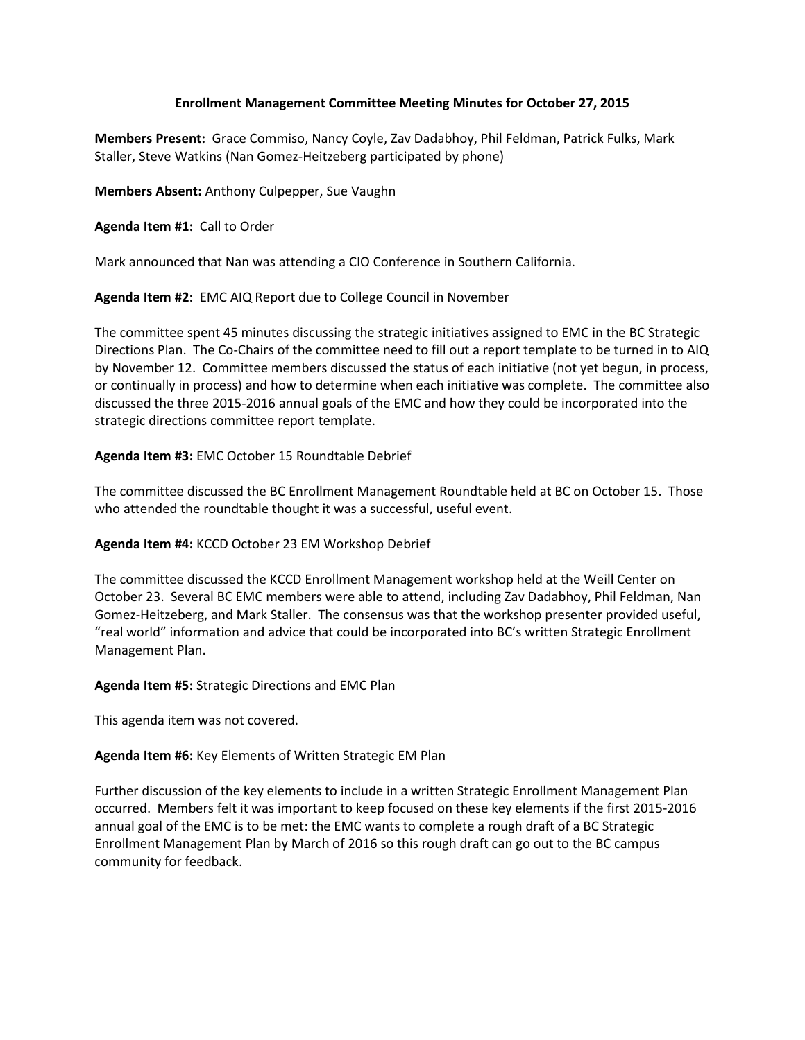## **Enrollment Management Committee Meeting Minutes for October 27, 2015**

**Members Present:** Grace Commiso, Nancy Coyle, Zav Dadabhoy, Phil Feldman, Patrick Fulks, Mark Staller, Steve Watkins (Nan Gomez-Heitzeberg participated by phone)

**Members Absent:** Anthony Culpepper, Sue Vaughn

**Agenda Item #1:** Call to Order

Mark announced that Nan was attending a CIO Conference in Southern California.

**Agenda Item #2:** EMC AIQ Report due to College Council in November

The committee spent 45 minutes discussing the strategic initiatives assigned to EMC in the BC Strategic Directions Plan. The Co-Chairs of the committee need to fill out a report template to be turned in to AIQ by November 12. Committee members discussed the status of each initiative (not yet begun, in process, or continually in process) and how to determine when each initiative was complete. The committee also discussed the three 2015-2016 annual goals of the EMC and how they could be incorporated into the strategic directions committee report template.

**Agenda Item #3:** EMC October 15 Roundtable Debrief

The committee discussed the BC Enrollment Management Roundtable held at BC on October 15. Those who attended the roundtable thought it was a successful, useful event.

**Agenda Item #4:** KCCD October 23 EM Workshop Debrief

The committee discussed the KCCD Enrollment Management workshop held at the Weill Center on October 23. Several BC EMC members were able to attend, including Zav Dadabhoy, Phil Feldman, Nan Gomez-Heitzeberg, and Mark Staller. The consensus was that the workshop presenter provided useful, "real world" information and advice that could be incorporated into BC's written Strategic Enrollment Management Plan.

**Agenda Item #5:** Strategic Directions and EMC Plan

This agenda item was not covered.

**Agenda Item #6:** Key Elements of Written Strategic EM Plan

Further discussion of the key elements to include in a written Strategic Enrollment Management Plan occurred. Members felt it was important to keep focused on these key elements if the first 2015-2016 annual goal of the EMC is to be met: the EMC wants to complete a rough draft of a BC Strategic Enrollment Management Plan by March of 2016 so this rough draft can go out to the BC campus community for feedback.